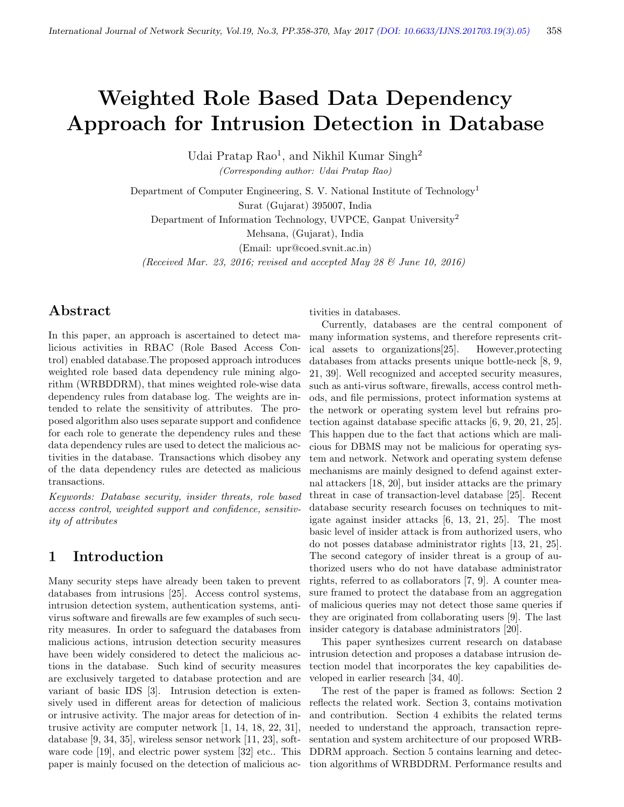# Weighted Role Based Data Dependency Approach for Intrusion Detection in Database

Udai Pratap Rao<sup>1</sup>, and Nikhil Kumar Singh<sup>2</sup>

(Corresponding author: Udai Pratap Rao)

Department of Computer Engineering, S. V. National Institute of Technology<sup>1</sup> Surat (Gujarat) 395007, India

Department of Information Technology, UVPCE, Ganpat University<sup>2</sup>

Mehsana, (Gujarat), India

(Email: upr@coed.svnit.ac.in)

(Received Mar. 23, 2016; revised and accepted May 28  $\mathcal C$  June 10, 2016)

# Abstract

In this paper, an approach is ascertained to detect malicious activities in RBAC (Role Based Access Control) enabled database.The proposed approach introduces weighted role based data dependency rule mining algorithm (WRBDDRM), that mines weighted role-wise data dependency rules from database log. The weights are intended to relate the sensitivity of attributes. The proposed algorithm also uses separate support and confidence for each role to generate the dependency rules and these data dependency rules are used to detect the malicious activities in the database. Transactions which disobey any of the data dependency rules are detected as malicious transactions.

Keywords: Database security, insider threats, role based access control, weighted support and confidence, sensitivity of attributes

## 1 Introduction

Many security steps have already been taken to prevent databases from intrusions [25]. Access control systems, intrusion detection system, authentication systems, antivirus software and firewalls are few examples of such security measures. In order to safeguard the databases from malicious actions, intrusion detection security measures have been widely considered to detect the malicious actions in the database. Such kind of security measures are exclusively targeted to database protection and are variant of basic IDS [3]. Intrusion detection is extensively used in different areas for detection of malicious or intrusive activity. The major areas for detection of intrusive activity are computer network [1, 14, 18, 22, 31], database [9, 34, 35], wireless sensor network [11, 23], software code [19], and electric power system [32] etc.. This paper is mainly focused on the detection of malicious activities in databases.

Currently, databases are the central component of many information systems, and therefore represents critical assets to organizations[25]. However,protecting databases from attacks presents unique bottle-neck [8, 9, 21, 39]. Well recognized and accepted security measures, such as anti-virus software, firewalls, access control methods, and file permissions, protect information systems at the network or operating system level but refrains protection against database specific attacks [6, 9, 20, 21, 25]. This happen due to the fact that actions which are malicious for DBMS may not be malicious for operating system and network. Network and operating system defense mechanisms are mainly designed to defend against external attackers [18, 20], but insider attacks are the primary threat in case of transaction-level database [25]. Recent database security research focuses on techniques to mitigate against insider attacks [6, 13, 21, 25]. The most basic level of insider attack is from authorized users, who do not posses database administrator rights [13, 21, 25]. The second category of insider threat is a group of authorized users who do not have database administrator rights, referred to as collaborators [7, 9]. A counter measure framed to protect the database from an aggregation of malicious queries may not detect those same queries if they are originated from collaborating users [9]. The last insider category is database administrators [20].

This paper synthesizes current research on database intrusion detection and proposes a database intrusion detection model that incorporates the key capabilities developed in earlier research [34, 40].

The rest of the paper is framed as follows: Section 2 reflects the related work. Section 3, contains motivation and contribution. Section 4 exhibits the related terms needed to understand the approach, transaction representation and system architecture of our proposed WRB-DDRM approach. Section 5 contains learning and detection algorithms of WRBDDRM. Performance results and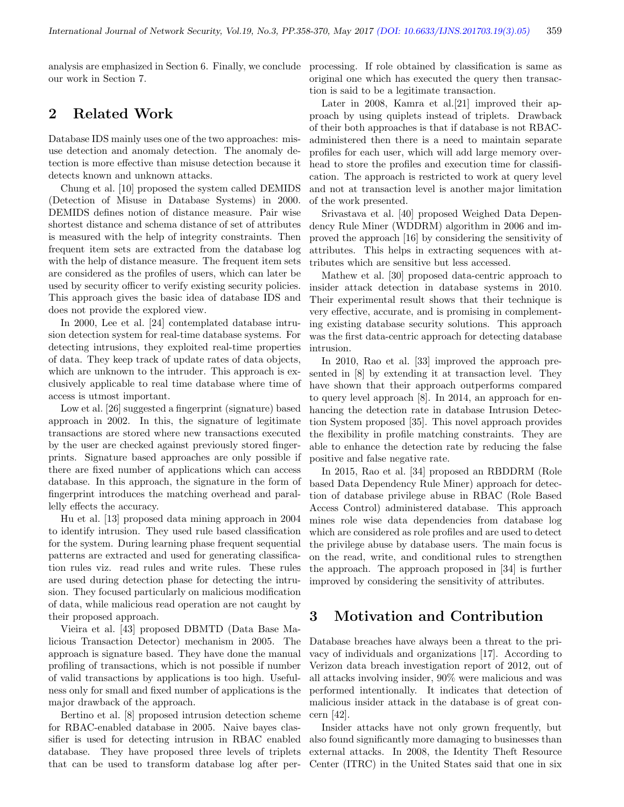analysis are emphasized in Section 6. Finally, we conclude processing. If role obtained by classification is same as our work in Section 7.

# 2 Related Work

Database IDS mainly uses one of the two approaches: misuse detection and anomaly detection. The anomaly detection is more effective than misuse detection because it detects known and unknown attacks.

Chung et al. [10] proposed the system called DEMIDS (Detection of Misuse in Database Systems) in 2000. DEMIDS defines notion of distance measure. Pair wise shortest distance and schema distance of set of attributes is measured with the help of integrity constraints. Then frequent item sets are extracted from the database log with the help of distance measure. The frequent item sets are considered as the profiles of users, which can later be used by security officer to verify existing security policies. This approach gives the basic idea of database IDS and does not provide the explored view.

In 2000, Lee et al. [24] contemplated database intrusion detection system for real-time database systems. For detecting intrusions, they exploited real-time properties of data. They keep track of update rates of data objects, which are unknown to the intruder. This approach is exclusively applicable to real time database where time of access is utmost important.

Low et al. [26] suggested a fingerprint (signature) based approach in 2002. In this, the signature of legitimate transactions are stored where new transactions executed by the user are checked against previously stored fingerprints. Signature based approaches are only possible if there are fixed number of applications which can access database. In this approach, the signature in the form of fingerprint introduces the matching overhead and parallelly effects the accuracy.

Hu et al. [13] proposed data mining approach in 2004 to identify intrusion. They used rule based classification for the system. During learning phase frequent sequential patterns are extracted and used for generating classification rules viz. read rules and write rules. These rules are used during detection phase for detecting the intrusion. They focused particularly on malicious modification of data, while malicious read operation are not caught by their proposed approach.

Vieira et al. [43] proposed DBMTD (Data Base Malicious Transaction Detector) mechanism in 2005. The approach is signature based. They have done the manual profiling of transactions, which is not possible if number of valid transactions by applications is too high. Usefulness only for small and fixed number of applications is the major drawback of the approach.

Bertino et al. [8] proposed intrusion detection scheme for RBAC-enabled database in 2005. Naive bayes classifier is used for detecting intrusion in RBAC enabled database. They have proposed three levels of triplets that can be used to transform database log after peroriginal one which has executed the query then transaction is said to be a legitimate transaction.

Later in 2008, Kamra et al. [21] improved their approach by using quiplets instead of triplets. Drawback of their both approaches is that if database is not RBACadministered then there is a need to maintain separate profiles for each user, which will add large memory overhead to store the profiles and execution time for classification. The approach is restricted to work at query level and not at transaction level is another major limitation of the work presented.

Srivastava et al. [40] proposed Weighed Data Dependency Rule Miner (WDDRM) algorithm in 2006 and improved the approach [16] by considering the sensitivity of attributes. This helps in extracting sequences with attributes which are sensitive but less accessed.

Mathew et al. [30] proposed data-centric approach to insider attack detection in database systems in 2010. Their experimental result shows that their technique is very effective, accurate, and is promising in complementing existing database security solutions. This approach was the first data-centric approach for detecting database intrusion.

In 2010, Rao et al. [33] improved the approach presented in [8] by extending it at transaction level. They have shown that their approach outperforms compared to query level approach [8]. In 2014, an approach for enhancing the detection rate in database Intrusion Detection System proposed [35]. This novel approach provides the flexibility in profile matching constraints. They are able to enhance the detection rate by reducing the false positive and false negative rate.

In 2015, Rao et al. [34] proposed an RBDDRM (Role based Data Dependency Rule Miner) approach for detection of database privilege abuse in RBAC (Role Based Access Control) administered database. This approach mines role wise data dependencies from database log which are considered as role profiles and are used to detect the privilege abuse by database users. The main focus is on the read, write, and conditional rules to strengthen the approach. The approach proposed in [34] is further improved by considering the sensitivity of attributes.

## 3 Motivation and Contribution

Database breaches have always been a threat to the privacy of individuals and organizations [17]. According to Verizon data breach investigation report of 2012, out of all attacks involving insider, 90% were malicious and was performed intentionally. It indicates that detection of malicious insider attack in the database is of great concern [42].

Insider attacks have not only grown frequently, but also found significantly more damaging to businesses than external attacks. In 2008, the Identity Theft Resource Center (ITRC) in the United States said that one in six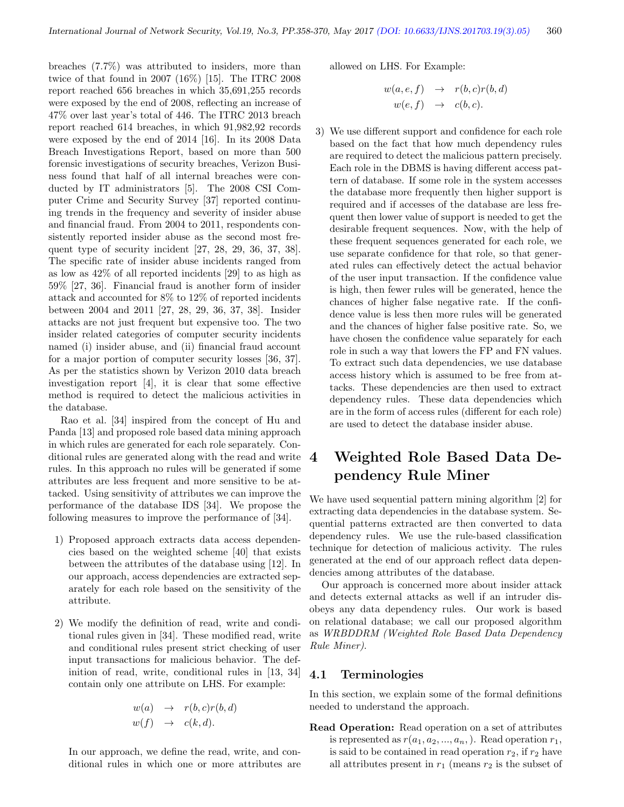breaches (7.7%) was attributed to insiders, more than twice of that found in 2007 (16%) [15]. The ITRC 2008 report reached 656 breaches in which 35,691,255 records were exposed by the end of 2008, reflecting an increase of 47% over last year's total of 446. The ITRC 2013 breach report reached 614 breaches, in which 91,982,92 records were exposed by the end of 2014 [16]. In its 2008 Data Breach Investigations Report, based on more than 500 forensic investigations of security breaches, Verizon Business found that half of all internal breaches were conducted by IT administrators [5]. The 2008 CSI Computer Crime and Security Survey [37] reported continuing trends in the frequency and severity of insider abuse and financial fraud. From 2004 to 2011, respondents consistently reported insider abuse as the second most frequent type of security incident [27, 28, 29, 36, 37, 38]. The specific rate of insider abuse incidents ranged from as low as 42% of all reported incidents [29] to as high as 59% [27, 36]. Financial fraud is another form of insider attack and accounted for 8% to 12% of reported incidents between 2004 and 2011 [27, 28, 29, 36, 37, 38]. Insider attacks are not just frequent but expensive too. The two insider related categories of computer security incidents named (i) insider abuse, and (ii) financial fraud account for a major portion of computer security losses [36, 37]. As per the statistics shown by Verizon 2010 data breach investigation report [4], it is clear that some effective method is required to detect the malicious activities in the database.

Rao et al. [34] inspired from the concept of Hu and Panda [13] and proposed role based data mining approach in which rules are generated for each role separately. Conditional rules are generated along with the read and write rules. In this approach no rules will be generated if some attributes are less frequent and more sensitive to be attacked. Using sensitivity of attributes we can improve the performance of the database IDS [34]. We propose the following measures to improve the performance of [34].

- 1) Proposed approach extracts data access dependencies based on the weighted scheme [40] that exists between the attributes of the database using [12]. In our approach, access dependencies are extracted separately for each role based on the sensitivity of the attribute.
- 2) We modify the definition of read, write and conditional rules given in [34]. These modified read, write and conditional rules present strict checking of user input transactions for malicious behavior. The definition of read, write, conditional rules in [13, 34] contain only one attribute on LHS. For example:

$$
w(a) \rightarrow r(b, c)r(b, d)
$$
  

$$
w(f) \rightarrow c(k, d).
$$

In our approach, we define the read, write, and conditional rules in which one or more attributes are allowed on LHS. For Example:

$$
w(a, e, f) \rightarrow r(b, c)r(b, d)
$$
  

$$
w(e, f) \rightarrow c(b, c).
$$

3) We use different support and confidence for each role based on the fact that how much dependency rules are required to detect the malicious pattern precisely. Each role in the DBMS is having different access pattern of database. If some role in the system accesses the database more frequently then higher support is required and if accesses of the database are less frequent then lower value of support is needed to get the desirable frequent sequences. Now, with the help of these frequent sequences generated for each role, we use separate confidence for that role, so that generated rules can effectively detect the actual behavior of the user input transaction. If the confidence value is high, then fewer rules will be generated, hence the chances of higher false negative rate. If the confidence value is less then more rules will be generated and the chances of higher false positive rate. So, we have chosen the confidence value separately for each role in such a way that lowers the FP and FN values. To extract such data dependencies, we use database access history which is assumed to be free from attacks. These dependencies are then used to extract dependency rules. These data dependencies which are in the form of access rules (different for each role) are used to detect the database insider abuse.

# 4 Weighted Role Based Data Dependency Rule Miner

We have used sequential pattern mining algorithm [2] for extracting data dependencies in the database system. Sequential patterns extracted are then converted to data dependency rules. We use the rule-based classification technique for detection of malicious activity. The rules generated at the end of our approach reflect data dependencies among attributes of the database.

Our approach is concerned more about insider attack and detects external attacks as well if an intruder disobeys any data dependency rules. Our work is based on relational database; we call our proposed algorithm as WRBDDRM (Weighted Role Based Data Dependency Rule Miner).

#### 4.1 Terminologies

In this section, we explain some of the formal definitions needed to understand the approach.

Read Operation: Read operation on a set of attributes is represented as  $r(a_1, a_2, ..., a_n)$ . Read operation  $r_1$ , is said to be contained in read operation  $r_2$ , if  $r_2$  have all attributes present in  $r_1$  (means  $r_2$  is the subset of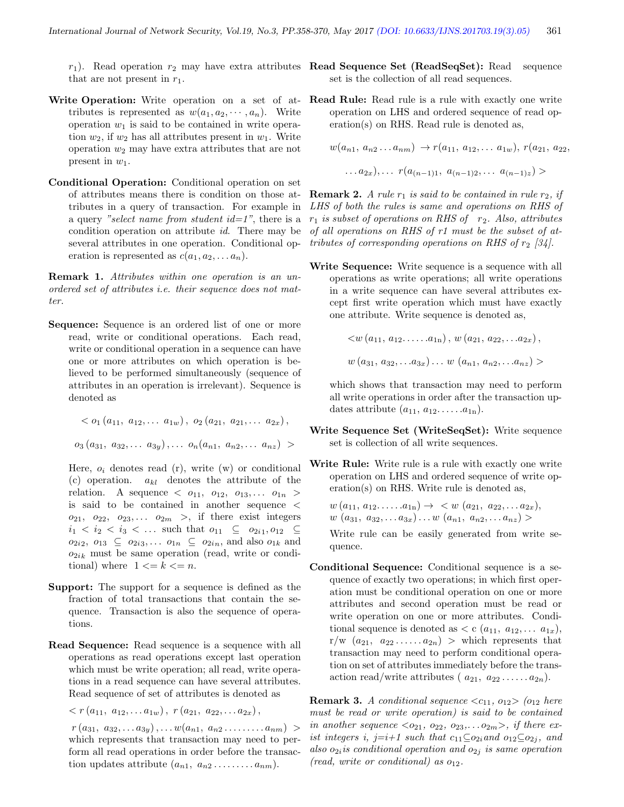that are not present in  $r_1$ .

- Write Operation: Write operation on a set of attributes is represented as  $w(a_1, a_2, \dots, a_n)$ . Write operation  $w_1$  is said to be contained in write operation  $w_2$ , if  $w_2$  has all attributes present in  $w_1$ . Write operation  $w_2$  may have extra attributes that are not present in  $w_1$ .
- Conditional Operation: Conditional operation on set of attributes means there is condition on those attributes in a query of transaction. For example in a query "select name from student  $id=1$ ", there is a condition operation on attribute id. There may be several attributes in one operation. Conditional operation is represented as  $c(a_1, a_2, \ldots, a_n)$ .

Remark 1. Attributes within one operation is an unordered set of attributes i.e. their sequence does not matter.

Sequence: Sequence is an ordered list of one or more read, write or conditional operations. Each read, write or conditional operation in a sequence can have one or more attributes on which operation is believed to be performed simultaneously (sequence of attributes in an operation is irrelevant). Sequence is denoted as

$$
\langle o_1(a_{11}, a_{12}, \ldots a_{1w}), o_2(a_{21}, a_{21}, \ldots a_{2x}),
$$
  

$$
o_3(a_{31}, a_{32}, \ldots a_{3y}), \ldots o_n(a_{n1}, a_{n2}, \ldots a_{nz}) >
$$

Here,  $o_i$  denotes read  $(r)$ , write  $(w)$  or conditional (c) operation.  $a_{kl}$  denotes the attribute of the relation. A sequence  $\langle o_{11}, o_{12}, o_{13}, \ldots, o_{1n} \rangle$ is said to be contained in another sequence <  $o_{21}, o_{22}, o_{23}, \ldots o_{2m} >$ , if there exist integers  $i_1 < i_2 < i_3 < \dots$  such that  $o_{11} \subseteq o_{2i_1}, o_{12} \subseteq$  $o_{2i2}, o_{13} \subseteq o_{2i3}, \ldots o_{1n} \subseteq o_{2in}$ , and also  $o_{1k}$  and  $o_{2ik}$  must be same operation (read, write or conditional) where  $1 \leq k \leq n$ .

- Support: The support for a sequence is defined as the fraction of total transactions that contain the sequence. Transaction is also the sequence of operations.
- Read Sequence: Read sequence is a sequence with all operations as read operations except last operation which must be write operation; all read, write operations in a read sequence can have several attributes. Read sequence of set of attributes is denoted as

 $\langle r(a_{11}, a_{12}, \ldots a_{1w}), r(a_{21}, a_{22}, \ldots a_{2x}),$ 

 $r(a_{31}, a_{32}, \ldots a_{3y}), \ldots w(a_{n1}, a_{n2}, \ldots, a_{nm}) >$ which represents that transaction may need to perform all read operations in order before the transaction updates attribute  $(a_{n1}, a_{n2}, \ldots, a_{nm}).$ 

- $r_1$ ). Read operation  $r_2$  may have extra attributes **Read Sequence Set (ReadSeqSet):** Read sequence set is the collection of all read sequences.
	- Read Rule: Read rule is a rule with exactly one write operation on LHS and ordered sequence of read operation(s) on RHS. Read rule is denoted as,

$$
w(a_{n1}, a_{n2}...a_{nm}) \rightarrow r(a_{11}, a_{12},...a_{1w}), r(a_{21}, a_{22},...a_{2x}),...r(a_{(n-1)1}, a_{(n-1)2},...a_{(n-1)z}) >
$$

**Remark 2.** A rule  $r_1$  is said to be contained in rule  $r_2$ , if LHS of both the rules is same and operations on RHS of  $r_1$  is subset of operations on RHS of  $r_2$ . Also, attributes of all operations on RHS of r1 must be the subset of attributes of corresponding operations on RHS of  $r_2$  [34].

Write Sequence: Write sequence is a sequence with all operations as write operations; all write operations in a write sequence can have several attributes except first write operation which must have exactly one attribute. Write sequence is denoted as,

$$
\langle w (a_{11}, a_{12}, \ldots, a_{1n}), w (a_{21}, a_{22}, \ldots, a_{2x}),
$$
  

$$
w (a_{31}, a_{32}, \ldots, a_{3x}) \ldots w (a_{n1}, a_{n2}, \ldots, a_{nz}) \rangle
$$

which shows that transaction may need to perform all write operations in order after the transaction updates attribute  $(a_{11}, a_{12}, \ldots, a_{1n}).$ 

- Write Sequence Set (WriteSeqSet): Write sequence set is collection of all write sequences.
- Write Rule: Write rule is a rule with exactly one write operation on LHS and ordered sequence of write operation(s) on RHS. Write rule is denoted as,

$$
w(a_{11}, a_{12}, \ldots, a_{1n}) \rightarrow \langle w (a_{21}, a_{22}, \ldots, a_{2x}), w (a_{31}, a_{32}, \ldots, a_{3x}) \rangle
$$

Write rule can be easily generated from write sequence.

Conditional Sequence: Conditional sequence is a sequence of exactly two operations; in which first operation must be conditional operation on one or more attributes and second operation must be read or write operation on one or more attributes. Conditional sequence is denoted as  $\lt c$   $(a_{11}, a_{12}, \ldots, a_{1x}),$  $r/w$   $(a_{21}, a_{22}, \ldots, a_{2n}) >$  which represents that transaction may need to perform conditional operation on set of attributes immediately before the transaction read/write attributes  $(a_{21}, a_{22} \ldots a_{2n}).$ 

**Remark 3.** A conditional sequence  $\langle c_{11}, o_{12} \rangle$  (o<sub>12</sub> here must be read or write operation) is said to be contained in another sequence  $\langle o_{21}, o_{22}, o_{23}, \ldots, o_{2m} \rangle$ , if there exist integers i, j=i+1 such that  $c_{11} \subseteq o_{2i}$  and  $o_{12} \subseteq o_{2j}$ , and also  $o_{2i}$  is conditional operation and  $o_{2j}$  is same operation (read, write or conditional) as  $o_{12}$ .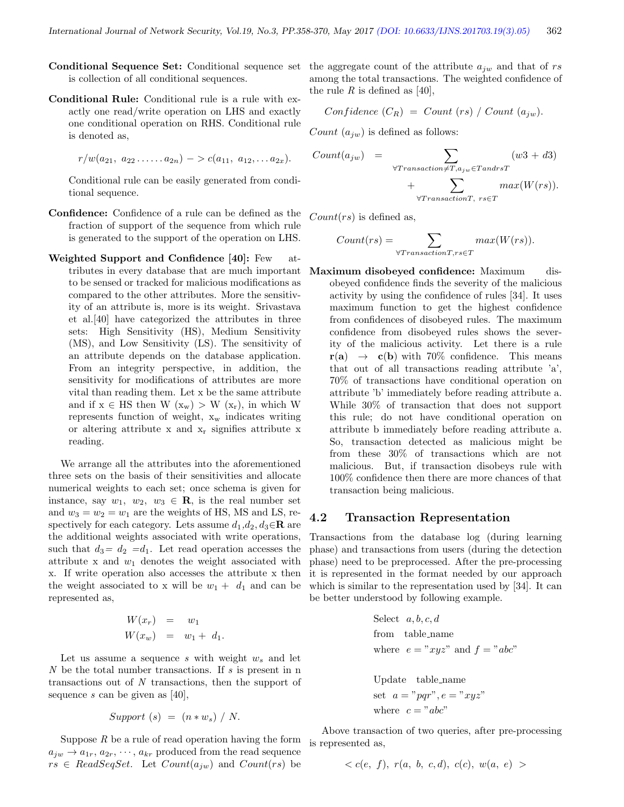- Conditional Sequence Set: Conditional sequence set is collection of all conditional sequences.
- Conditional Rule: Conditional rule is a rule with exactly one read/write operation on LHS and exactly one conditional operation on RHS. Conditional rule is denoted as,

$$
r/w(a_{21}, a_{22} \ldots a_{2n}) \to c(a_{11}, a_{12}, \ldots a_{2x}).
$$

Conditional rule can be easily generated from conditional sequence.

- Confidence: Confidence of a rule can be defined as the fraction of support of the sequence from which rule is generated to the support of the operation on LHS.
- Weighted Support and Confidence [40]: Few attributes in every database that are much important to be sensed or tracked for malicious modifications as compared to the other attributes. More the sensitivity of an attribute is, more is its weight. Srivastava et al.[40] have categorized the attributes in three sets: High Sensitivity (HS), Medium Sensitivity (MS), and Low Sensitivity (LS). The sensitivity of an attribute depends on the database application. From an integrity perspective, in addition, the sensitivity for modifications of attributes are more vital than reading them. Let x be the same attribute and if  $x \in HS$  then  $W(x_w) > W(x_r)$ , in which W represents function of weight,  $x_w$  indicates writing or altering attribute x and  $x_r$  signifies attribute x reading.

We arrange all the attributes into the aforementioned three sets on the basis of their sensitivities and allocate numerical weights to each set; once schema is given for instance, say  $w_1, w_2, w_3 \in \mathbf{R}$ , is the real number set and  $w_3 = w_2 = w_1$  are the weights of HS, MS and LS, respectively for each category. Lets assume  $d_1, d_2, d_3 \in \mathbb{R}$  are the additional weights associated with write operations, such that  $d_3 = d_2 = d_1$ . Let read operation accesses the attribute x and  $w_1$  denotes the weight associated with x. If write operation also accesses the attribute x then the weight associated to x will be  $w_1 + d_1$  and can be represented as,

$$
W(x_r) = w_1
$$
  

$$
W(x_w) = w_1 + d_1.
$$

Let us assume a sequence s with weight  $w_s$  and let N be the total number transactions. If s is present in n transactions out of N transactions, then the support of sequence s can be given as  $[40]$ ,

$$
Support(s) = (n * w_s) / N.
$$

Suppose  $R$  be a rule of read operation having the form  $a_{iw} \rightarrow a_{1r}, a_{2r}, \cdots, a_{kr}$  produced from the read sequence  $rs \in ReadSeqSet$ . Let  $Count(a_{jw})$  and  $Count(rs)$  be

the aggregate count of the attribute  $a_{jw}$  and that of rs among the total transactions. The weighted confidence of the rule R is defined as [40],

Confidence 
$$
(C_R)
$$
 = Count (rs) / Count  $(a_{jw})$ .

*Count*  $(a_{iw})$  is defined as follows:

$$
Count(a_{jw}) = \sum_{\forall Transactions \neq T, a_{jw} \in TangrsT} (w3 + d3)
$$

$$
+ \sum_{\forall Transactions, rs \in T} max(W(rs)).
$$

 $Count(rs)$  is defined as,

$$
Count(rs) = \sum_{\forall TransactionT, rs \in T} max(W(rs)).
$$

Maximum disobeyed confidence: Maximum disobeyed confidence finds the severity of the malicious activity by using the confidence of rules [34]. It uses maximum function to get the highest confidence from confidences of disobeyed rules. The maximum confidence from disobeyed rules shows the severity of the malicious activity. Let there is a rule  $r(a) \rightarrow c(b)$  with 70% confidence. This means that out of all transactions reading attribute 'a', 70% of transactions have conditional operation on attribute 'b' immediately before reading attribute a. While 30% of transaction that does not support this rule; do not have conditional operation on attribute b immediately before reading attribute a. So, transaction detected as malicious might be from these 30% of transactions which are not malicious. But, if transaction disobeys rule with 100% confidence then there are more chances of that transaction being malicious.

#### 4.2 Transaction Representation

Transactions from the database log (during learning phase) and transactions from users (during the detection phase) need to be preprocessed. After the pre-processing it is represented in the format needed by our approach which is similar to the representation used by [34]. It can be better understood by following example.

Select 
$$
a, b, c, d
$$
  
from table\_name  
where  $e = "xyz"$  and  $f = "abc"$   
Update table\_name  
set  $a = "pqr", e = "xyz"$   
where  $c = "abc"$ 

Above transaction of two queries, after pre-processing is represented as,

$$
\langle c(e, f), r(a, b, c, d), c(c), w(a, e) \rangle
$$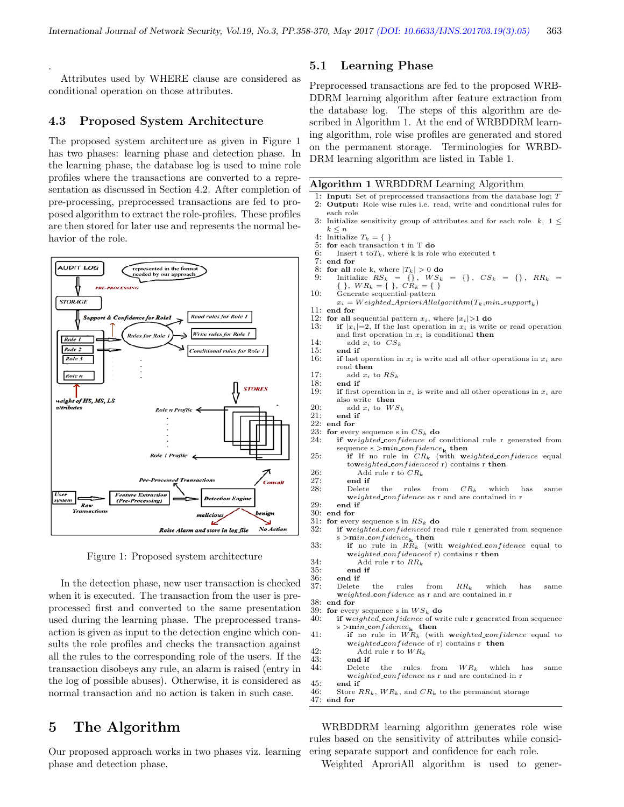Attributes used by WHERE clause are considered as conditional operation on those attributes.

#### 4.3 Proposed System Architecture

.

The proposed system architecture as given in Figure 1 has two phases: learning phase and detection phase. In the learning phase, the database log is used to mine role profiles where the transactions are converted to a representation as discussed in Section 4.2. After completion of pre-processing, preprocessed transactions are fed to proposed algorithm to extract the role-profiles. These profiles are then stored for later use and represents the normal behavior of the role.



Figure 1: Proposed system architecture

In the detection phase, new user transaction is checked when it is executed. The transaction from the user is preprocessed first and converted to the same presentation used during the learning phase. The preprocessed transaction is given as input to the detection engine which consults the role profiles and checks the transaction against all the rules to the corresponding role of the users. If the transaction disobeys any rule, an alarm is raised (entry in the log of possible abuses). Otherwise, it is considered as normal transaction and no action is taken in such case.

## 5 The Algorithm

Our proposed approach works in two phases viz. learning phase and detection phase.

#### 5.1 Learning Phase

Preprocessed transactions are fed to the proposed WRB-DDRM learning algorithm after feature extraction from the database log. The steps of this algorithm are described in Algorithm 1. At the end of WRBDDRM learning algorithm, role wise profiles are generated and stored on the permanent storage. Terminologies for WRBD-DRM learning algorithm are listed in Table 1.

|  |  | Algorithm 1 WRBDDRM Learning Algorithm |  |  |
|--|--|----------------------------------------|--|--|
|--|--|----------------------------------------|--|--|

- 1: Input: Set of preprocessed transactions from the database log; T 2: Output: Role wise rules i.e. read, write and conditional rules for each role
- 3: Initialize sensitivity group of attributes and for each role k,  $1 \leq$  $k \leq n$
- 4: Initialize  $T_k = \{\}$ <br>5: for each transaction
- for each transaction t in T do
- 6: Insert t  $\text{to} T_k$ , where k is role who executed t 7: end for
- end for
- 8: **for all** role k, where  $|T_k| > 0$  **do**<br>9: Initialize  $RS_k = \{\}, \quad WS_k$ 9: Initialize  $RS_k = \{\}, \; WS_k = \{\}, \; CS_k = \{\}, \; RR_k = \{$ Initialize  $RS_k = {\begin{matrix} 1 \\ 1 \end{matrix}}$ ,  $WS_k$ <br>{ },  $WR_k = {\begin{matrix} 1 \\ 1 \end{matrix}}$ ,  $CR_k = {\begin{matrix} 1 \\ 1 \end{matrix}}$
- 10: Generate sequential pattern
- $x_i = Weighted\_A prioriAll algorithm(T_k, min\_support_k) \label{eq:1}$
- 11: end for
	-
- 12: **for all sequential pattern**  $x_i$ **, where**  $|x_i| > 1$  **do 13: <b>if**  $|x_i|=2$ . If the last operation in  $x_i$  is writ **if**  $|x_i|=2$ , If the last operation in  $x_i$  is write or read operation and first operation in  $\boldsymbol{x}_i$  is conditional then
	-
- 14: add  $x_i$  to  $CS_k$ <br>15: end if
- 15: end if<br>16: if last if last operation in  $x_i$  is write and all other operations in  $x_i$  are read then
- 17: add  $x_i$  to  $RS_k$ <br>18: end if
- 18: end if<br>19: if first
- **if** first operation in  $x_i$  is write and all other operations in  $x_i$  are also write then
- 20: add  $x_i$  to  $WS_k$ <br>21: end if
- $21:$  end if  $22:$  end for end for
- 23: for every sequence s in  $CS_k$  do<br>24: **if** weighted confidence of
- if weighted\_confidence of conditional rule r generated from sequence s $>$ min\_con $f$ idence $_{\bf k}$  then
- 25: if If no rule in  $CR_k$  (with weighted confidence equal toweighted\_confidenceof r) contains r then
- 26: Add rule r to  $CR_k$ <br>27: end if
- 27: end if<br>28: Delete
- 28: Delete the rules from  $CR_k$  which has same weighted\_confidence as r and are contained in r
- 29: end if
- $30:$  end for  $31:$  for ever
- 31: for every sequence s in  $RS_k$  do 32: if weighted confidence in if weighted confidenceof read rule r generated from sequence s >min\_confidence<sub>k</sub> then
- 33: if no rule in  $R\ddot{R}_k$  (with weighted confidence equal to weighted confidenceof r) contains r then
- 34: Add rule r to  $RR_k$ <br>35: **end if**
- 35: end if
- 36: end if<br>37: Delete
- 37: Delete the rules from  $RR_k$  which has same weighted\_confidence as r and are contained in r
- 38: end for<br>39: for ever
- 39: for every sequence s in  $WS_k$  do<br>40: **if** weighted\_confidence of wr  $if weighted\_confidence$  of write rule r generated from sequence
- s $>$ min\_confidence $_{\bf k}$  then 41: if no rule in  $\overset{\textbf{K}}{W}R_k$  (with weighted confidence equal to
- weighted confidence of  $r$ ) contains  $r$  then 42: Add rule r to  $WR_k$ <br>43: end if
	-
- end if<br>Delete 44: Delete the rules from  $WR_k$  which has same weighted confidence as r and are contained in r
- 45: end if<br>46: Store
- Store  $RR_k$ ,  $WR_k$ , and  $CR_k$  to the permanent storage
- 47: end for

WRBDDRM learning algorithm generates role wise rules based on the sensitivity of attributes while considering separate support and confidence for each role.

Weighted AproriAll algorithm is used to gener-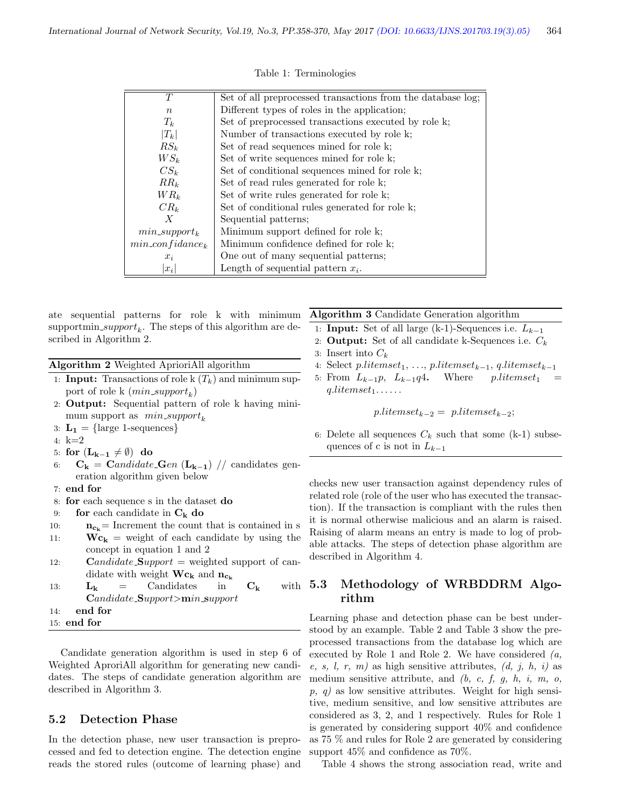| T                   | Set of all preprocessed transactions from the database log; |
|---------------------|-------------------------------------------------------------|
| $\boldsymbol{n}$    | Different types of roles in the application;                |
| $T_k$               | Set of preprocessed transactions executed by role k;        |
| $ T_k $             | Number of transactions executed by role k;                  |
| $RS_k$              | Set of read sequences mined for role k;                     |
| $WS_k$              | Set of write sequences mined for role k;                    |
| $CS_k$              | Set of conditional sequences mined for role k;              |
| $RR_k$              | Set of read rules generated for role k;                     |
| $WR_k$              | Set of write rules generated for role k;                    |
| $CR_k$              | Set of conditional rules generated for role k;              |
| $\boldsymbol{X}$    | Sequential patterns;                                        |
| $min\_support_k$    | Minimum support defined for role k;                         |
| $min\_confidence_k$ | Minimum confidence defined for role k;                      |
| $x_i$               | One out of many sequential patterns;                        |
| $ x_i $             | Length of sequential pattern $x_i$ .                        |

Table 1: Terminologies

ate sequential patterns for role k with minimum  $\text{supportmin\_support}_k$ . The steps of this algorithm are described in Algorithm 2.

Algorithm 2 Weighted AprioriAll algorithm

- 1: **Input:** Transactions of role k  $(T_k)$  and minimum support of role k  $(min\_support_k)$
- 2: Output: Sequential pattern of role k having minimum support as  $min\_support_k$
- 3:  $L_1 = \{\text{large 1-sequences}\}\$
- 4: k=2
- 5: for  $(L_{k-1} \neq \emptyset)$  do
- 6: C<sup>k</sup> = Candidate Gen (Lk−1) // candidates generation algorithm given below
- 7: end for
- 8: for each sequence s in the dataset do
- 9: for each candidate in  $C_k$  do
- 10:  $n_{c_k}$  = Increment the count that is contained in s
- 11:  $\mathbf{Wc_k}$  = weight of each candidate by using the concept in equation 1 and 2
- 12: **Candidate\_Support** = weighted support of candidate with weight  $\mathbf{Wc}_{\mathbf{k}}$  and  $\mathbf{n}_{\mathbf{c}_{\mathbf{k}}}$
- 13:  $L_k$  = Candidates in  $C_k$  with 5.3 Candidate Support>min support
- 14: end for
- 15: end for

Candidate generation algorithm is used in step 6 of Weighted AproriAll algorithm for generating new candidates. The steps of candidate generation algorithm are described in Algorithm 3.

#### 5.2 Detection Phase

In the detection phase, new user transaction is preprocessed and fed to detection engine. The detection engine reads the stored rules (outcome of learning phase) and

#### Algorithm 3 Candidate Generation algorithm

- 1: **Input:** Set of all large (k-1)-Sequences i.e.  $L_{k-1}$
- 2: **Output:** Set of all candidate k-Sequences i.e.  $C_k$ 3: Insert into  $C_k$
- 4: Select  $p.litemset_1, ..., p.litemset_{k-1}, q.litemset_{k-1}$
- 5: From  $L_{k-1}p$ ,  $L_{k-1}q4$ . Where  $p.litemset_1$  =  $q.litemset_1 \ldots \ldots$

 $p.litemset_{k-2} = p.litemset_{k-2};$ 

6: Delete all sequences  $C_k$  such that some (k-1) subsequences of c is not in  $L_{k-1}$ 

checks new user transaction against dependency rules of related role (role of the user who has executed the transaction). If the transaction is compliant with the rules then it is normal otherwise malicious and an alarm is raised. Raising of alarm means an entry is made to log of probable attacks. The steps of detection phase algorithm are described in Algorithm 4.

### Methodology of WRBDDRM Algorithm

Learning phase and detection phase can be best understood by an example. Table 2 and Table 3 show the preprocessed transactions from the database log which are executed by Role 1 and Role 2. We have considered  $(a,$ e, s, l, r, m) as high sensitive attributes,  $(d, j, h, i)$  as medium sensitive attribute, and  $(b, c, f, g, h, i, m, o,$  $p, q$  as low sensitive attributes. Weight for high sensitive, medium sensitive, and low sensitive attributes are considered as 3, 2, and 1 respectively. Rules for Role 1 is generated by considering support 40% and confidence as 75 % and rules for Role 2 are generated by considering support 45% and confidence as 70%.

Table 4 shows the strong association read, write and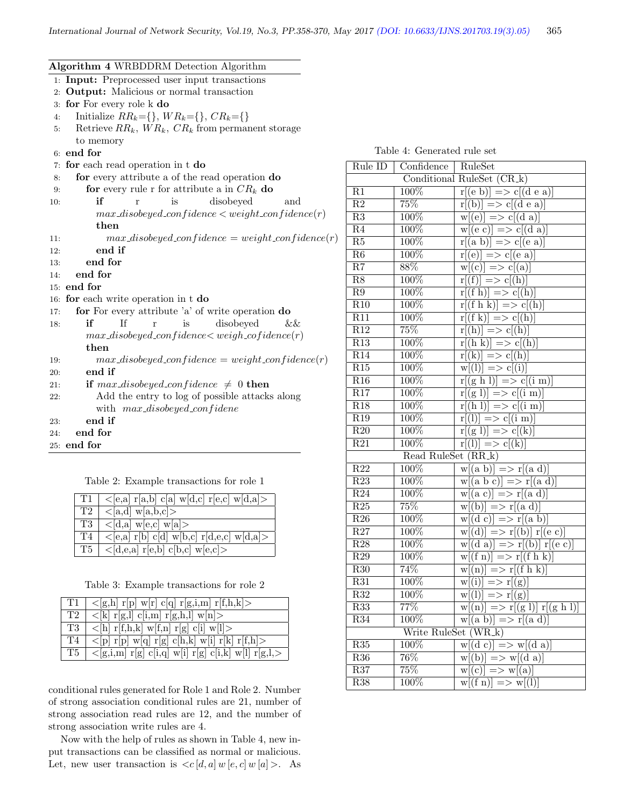| Algorithm 4 WRBDDRM Detection Algorithm        |  |  |  |  |  |  |
|------------------------------------------------|--|--|--|--|--|--|
| 1: Input: Preprocessed user input transactions |  |  |  |  |  |  |
| 2: Output: Malicious or normal transaction     |  |  |  |  |  |  |

- 3: for For every role k do
- 4: Initialize  $RR_k = \{\}, WR_k = \{\}, CR_k = \{\}$
- 5: Retrieve  $RR_k$ ,  $WR_k$ ,  $CR_k$  from permanent storage to memory
- 6: end for
- 7: for each read operation in t do
- 8: for every attribute a of the read operation do
- 9: **for** every rule r for attribute a in  $CR_k$  do
- 10: **if** r is disobeyed and  $max\_disobeyed\_confidence < weight\_confidence(r)$ then
- 11:  $max\_disobeyed\_confidence = weight\_confidence(r)$
- 12: end if
- 13: end for
- 14: end for
- 15: end for
- 16: for each write operation in t do
- 17: for For every attribute 'a' of write operation do
- 18: if If r is disobeyed &&  $max\_disobeyed\_confidence < weight\_cofidence(r)$ then
- 19:  $max\_disobeyed\_confidence = weight\_confidence(r)$
- 20: end if
- 21: **if** max\_disobeyed\_confidence  $\neq 0$  then
- 22: Add the entry to log of possible attacks along with  $max\_disobeyed\_confidence$

23: end if

- 24: end for
- 25: end for

Table 2: Example transactions for role 1

|    | $T1   <$ [e,a] r[a,b] c[a] w[d,c] r[e,c] w[d,a]>        |
|----|---------------------------------------------------------|
| T2 | $\langle$ [a,d] w[a,b,c]>                               |
| T3 | $\langle a, a \mid w \in (c, c] \mid w \in (a) \rangle$ |
| T4 | $\langle$ [e,a] r[b] c[d] w[b,c] r[d,e,c] w[d,a]>       |
|    | $T5$   < [d,e,a] r[e,b] c[b,c] w[e,c] >                 |

Table 3: Example transactions for role 2

|    | T1   $\langle$ [g,h] r[p] w[r] c[q] r[g,i,m] r[f,h,k]>                                           |
|----|--------------------------------------------------------------------------------------------------|
|    | T2   $\langle k  r[g,l] c[i,m] r[g,h,l] w[n] \rangle$                                            |
| T3 | $\langle \text{h}   \text{r}[f,h,k] \text{ w}[f,n] \text{r}[g] \text{c}[i] \text{ w}[l] \rangle$ |
| T4 | $\langle p $ r[p] w[q] r[g] c[h,k] w[i] r[k] r[f,h] >                                            |
|    | T5   $\langle [g,i,m] \r[g] \c[i,q] \r[i] \r[g] \c[i,k] \r[i][r] \r[g,l]$                        |

conditional rules generated for Role 1 and Role 2. Number of strong association conditional rules are 21, number of strong association read rules are 12, and the number of strong association write rules are 4.

Now with the help of rules as shown in Table 4, new input transactions can be classified as normal or malicious. Let, new user transaction is  $\langle c|d, a|w|e, c|w|a\rangle$ . As

| Rule ID                  | $\overline{\text{Confidence}}$ | RuleSet                                               |
|--------------------------|--------------------------------|-------------------------------------------------------|
|                          |                                | Conditional RuleSet (CR_k)                            |
| $\overline{R1}$          | $\overline{100\%}$             | $r[(e b)] \Rightarrow c[(d e a)]$                     |
| $\overline{R2}$          | $\overline{75\%}$              | $r[(b)] \Longrightarrow c[(d \in a)]$                 |
| $\overline{R3}$          | $100\%$                        | $\overline{w[(e)]}$ => $c[(d \overline{a})]$          |
| $\overline{R4}$          | 100%                           | $\overline{w[(e\ c)]} \Longrightarrow c[(d\ a)]$      |
| $\overline{\text{R5}}$   | 100%                           | $\overline{r[(a\ b)]}$ => $\overline{c[(e\ a)]}$      |
| $\overline{R6}$          | 100%                           | $\overline{r[(e)]}$ => $\overline{c[(e \ a)]}$        |
| $\overline{\mathrm{R7}}$ | 88%                            | $\overline{w[(c)]} \Longrightarrow c[(a)]$            |
| $\overline{R8}$          | 100%                           | $\overline{r[(f)]}$ => $\overline{c[(h)]}$            |
| $\overline{R9}$          | 100%                           | $\overline{r[(f h)]}$ => $\overline{c[(h)]}$          |
| $\overline{R10}$         | $100\%$                        | $\overline{r[(f h k)]}$ => $\overline{c[(h)]}$        |
| $\overline{R11}$         | 100%                           | $\overline{r[(f k)]}$ => $c[(h)]$                     |
| $\overline{R12}$         | 75%                            | $r[(h)] \Longrightarrow c[(h)]$                       |
| R13                      | 100%                           | $r[(h k)] \Rightarrow c[(h)]$                         |
| R14                      | 100%                           | $\overline{r[(k)]}$ => $\overline{c[(h)]}$            |
| R15                      | 100%                           | $\overline{w}[(l)] \implies c[(i)]$                   |
| $\overline{R16}$         | 100%                           | $r[(g h l)] \Rightarrow c[(i m)]$                     |
| R17                      | 100%                           | $r[(g 1)] \Rightarrow c[(i m)]$                       |
| R18                      | 100%                           | $r[(h]$ $\Rightarrow$ $c[(i]$ m)                      |
| $\overline{R19}$         | 100%                           | $\overline{r[(l)]}$ => $\overline{c[(i \ m)]}$        |
| $\overline{R20}$         | $\overline{100\%}$             | $\overline{r[(g\,1)]}\Longrightarrow c[(k)]$          |
| $\overline{R21}$         | $\overline{100\%}$             | $r[(l)] \implies c[(k)]$                              |
|                          | Read RuleSet (RR_k)            |                                                       |
| R22                      | 100%                           | $w[(a b)] \Rightarrow r[(a d)]$                       |
| $\overline{R23}$         | 100%                           | $w[(a\ b\ c)] \Longrightarrow r[(a\ d)]$              |
| R24                      | $100\%$                        | $w[(a c)] \Rightarrow r[(a d)]$                       |
| $\overline{R25}$         | 75%                            | $\overline{w[(b)]} \Longrightarrow r[(a\ d)]$         |
| $\overline{R26}$         | $\overline{100\%}$             | $w[(d c)] \Rightarrow r[(a b)]$                       |
| R27                      | 100%                           | $\overline{w[(d)]}$ => $r[(b)]$ $r[(e \ c)]$          |
| R28                      | 100%                           | $w[(d\ a)] \Longrightarrow r[(b)]\ r[(e\ c)]$         |
| R29                      | 100%                           | $w[(f n)] \Rightarrow r[(f h k)]$                     |
| $\overline{R30}$         | 74%                            | $w[(n)] \Rightarrow r[(f h k)]$                       |
| R31                      | 100%                           | $w[(i)] \Rightarrow r[(g)]$                           |
| R32                      | 100%                           | $w[(l)] \implies r[(g)]$                              |
| R33                      | 77%                            | $w[(n)] \implies r[(g 1)] r[(g h 1)]$                 |
| R34                      | 100%                           | $w[(a b)] \Rightarrow r[(a d)]$                       |
|                          | Write RuleSet (WR_k)           |                                                       |
| R35                      | 100%                           | $\overline{w[(d\ c)]}$ => $\overline{w[(d\ a)]}$      |
| $\overline{R36}$         | 76%                            | $\overline{w[(b)]} \Rightarrow \overline{w[(d \ a)]}$ |
| $\overline{R37}$         | 75%                            | $\overline{w[(c)]} \Rightarrow \overline{w[(a)]}$     |
| $\overline{R38}$         | $\overline{100\%}$             | $\overline{w[(f n)]}$ => $\overline{w[(l)]}$          |

Table 4: Generated rule set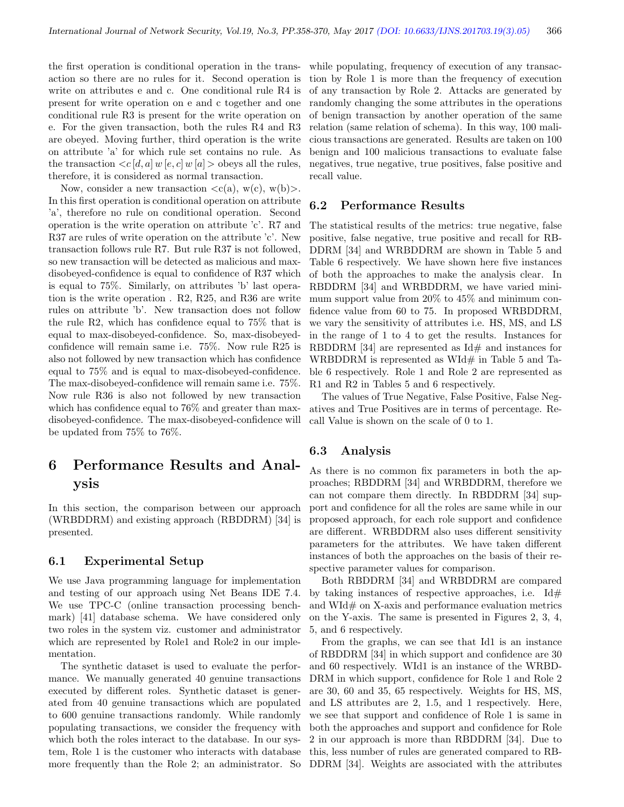the first operation is conditional operation in the transaction so there are no rules for it. Second operation is write on attributes e and c. One conditional rule R4 is present for write operation on e and c together and one conditional rule R3 is present for the write operation on e. For the given transaction, both the rules R4 and R3 are obeyed. Moving further, third operation is the write on attribute 'a' for which rule set contains no rule. As the transaction  $\langle c|d, a| \, w|e, c| \, w|a| \rangle$  obeys all the rules, therefore, it is considered as normal transaction.

Now, consider a new transaction  $\langle c(a), w(c), w(b) \rangle$ . In this first operation is conditional operation on attribute 'a', therefore no rule on conditional operation. Second operation is the write operation on attribute 'c'. R7 and R37 are rules of write operation on the attribute 'c'. New transaction follows rule R7. But rule R37 is not followed, so new transaction will be detected as malicious and maxdisobeyed-confidence is equal to confidence of R37 which is equal to 75%. Similarly, on attributes 'b' last operation is the write operation . R2, R25, and R36 are write rules on attribute 'b'. New transaction does not follow the rule R2, which has confidence equal to 75% that is equal to max-disobeyed-confidence. So, max-disobeyedconfidence will remain same i.e. 75%. Now rule R25 is also not followed by new transaction which has confidence equal to 75% and is equal to max-disobeyed-confidence. The max-disobeyed-confidence will remain same i.e. 75%. Now rule R36 is also not followed by new transaction which has confidence equal to 76% and greater than maxdisobeyed-confidence. The max-disobeyed-confidence will be updated from 75% to 76%.

# 6 Performance Results and Analysis

In this section, the comparison between our approach (WRBDDRM) and existing approach (RBDDRM) [34] is presented.

#### 6.1 Experimental Setup

We use Java programming language for implementation and testing of our approach using Net Beans IDE 7.4. We use TPC-C (online transaction processing benchmark) [41] database schema. We have considered only two roles in the system viz. customer and administrator which are represented by Role1 and Role2 in our implementation.

The synthetic dataset is used to evaluate the performance. We manually generated 40 genuine transactions executed by different roles. Synthetic dataset is generated from 40 genuine transactions which are populated to 600 genuine transactions randomly. While randomly populating transactions, we consider the frequency with which both the roles interact to the database. In our system, Role 1 is the customer who interacts with database more frequently than the Role 2; an administrator. So while populating, frequency of execution of any transaction by Role 1 is more than the frequency of execution of any transaction by Role 2. Attacks are generated by randomly changing the some attributes in the operations of benign transaction by another operation of the same relation (same relation of schema). In this way, 100 malicious transactions are generated. Results are taken on 100 benign and 100 malicious transactions to evaluate false negatives, true negative, true positives, false positive and recall value.

#### 6.2 Performance Results

The statistical results of the metrics: true negative, false positive, false negative, true positive and recall for RB-DDRM [34] and WRBDDRM are shown in Table 5 and Table 6 respectively. We have shown here five instances of both the approaches to make the analysis clear. In RBDDRM [34] and WRBDDRM, we have varied minimum support value from 20% to 45% and minimum confidence value from 60 to 75. In proposed WRBDDRM, we vary the sensitivity of attributes i.e. HS, MS, and LS in the range of 1 to 4 to get the results. Instances for RBDDRM [34] are represented as  $Id#$  and instances for WRBDDRM is represented as WId $#$  in Table 5 and Table 6 respectively. Role 1 and Role 2 are represented as R1 and R2 in Tables 5 and 6 respectively.

The values of True Negative, False Positive, False Negatives and True Positives are in terms of percentage. Recall Value is shown on the scale of 0 to 1.

#### 6.3 Analysis

As there is no common fix parameters in both the approaches; RBDDRM [34] and WRBDDRM, therefore we can not compare them directly. In RBDDRM [34] support and confidence for all the roles are same while in our proposed approach, for each role support and confidence are different. WRBDDRM also uses different sensitivity parameters for the attributes. We have taken different instances of both the approaches on the basis of their respective parameter values for comparison.

Both RBDDRM [34] and WRBDDRM are compared by taking instances of respective approaches, i.e.  $\mathrm{Id}\#$ and WId# on X-axis and performance evaluation metrics on the Y-axis. The same is presented in Figures 2, 3, 4, 5, and 6 respectively.

From the graphs, we can see that Id1 is an instance of RBDDRM [34] in which support and confidence are 30 and 60 respectively. WId1 is an instance of the WRBD-DRM in which support, confidence for Role 1 and Role 2 are 30, 60 and 35, 65 respectively. Weights for HS, MS, and LS attributes are 2, 1.5, and 1 respectively. Here, we see that support and confidence of Role 1 is same in both the approaches and support and confidence for Role 2 in our approach is more than RBDDRM [34]. Due to this, less number of rules are generated compared to RB-DDRM [34]. Weights are associated with the attributes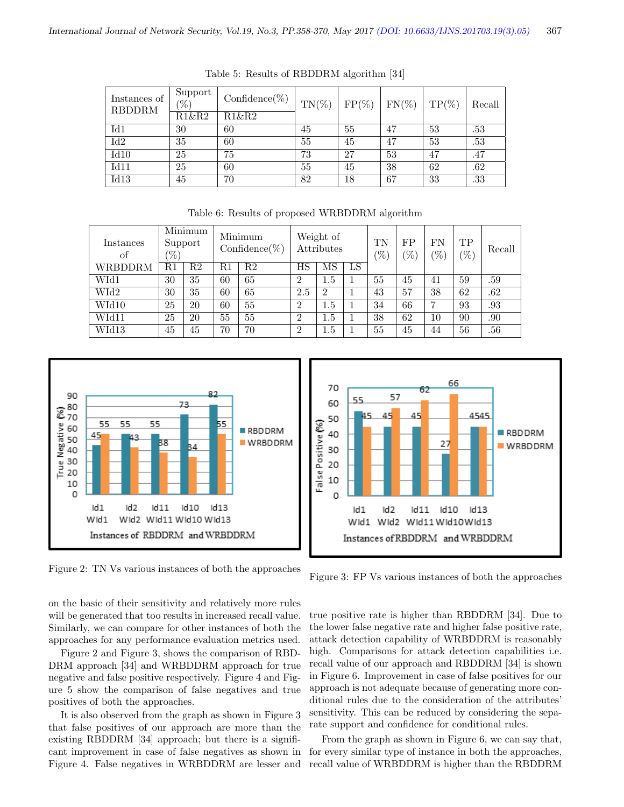| Instances of<br><b>RBDDRM</b> | Support<br>'%`<br>R1&R2 | $Confidence(\%)$<br>$R1\&R2$ | $TN(\%)$ | $FP(\%)$ | $FN(\%)$ | $TP(\%)$ | Recall |
|-------------------------------|-------------------------|------------------------------|----------|----------|----------|----------|--------|
| Id1                           | 30                      | 60                           | 45       | 55       | 47       | 53       | .53    |
| $\overline{\text{Id}2}$       | 35                      | 60                           | 55       | 45       | 47       | 53       | .53    |
| Id10                          | 25                      | 75                           | 73       | 27       | 53       | 47       | .47    |
| Id11                          | 25                      | 60                           | 55       | 45       | 38       | 62       | .62    |
| Id13                          | 45                      | 70                           | 82       | 18       | 67       | 33       | .33    |

Table 5: Results of RBDDRM algorithm [34]

| Instances<br>οf | Minimum<br>Support<br>$\mathscr{V}_0$ |    | Minimum<br>$Confidence(\%)$ |    | Weight of<br>Attributes |                | TN<br>$\%$ | FP<br>$\mathscr{C}_0$ | FN<br>$\%$ | TР<br>$\mathcal{O}_{(0)}$ | Recall |     |
|-----------------|---------------------------------------|----|-----------------------------|----|-------------------------|----------------|------------|-----------------------|------------|---------------------------|--------|-----|
| WRBDDRM         | R1                                    | R2 | R1                          | R2 | ΗS                      | MS             | LS         |                       |            |                           |        |     |
| WId1            | 30                                    | 35 | 60                          | 65 | $\overline{2}$          | 1.5            |            | 55                    | 45         | 41                        | 59     | .59 |
| WId2            | 30                                    | 35 | 60                          | 65 | 2.5                     | $\overline{2}$ |            | 43                    | 57         | 38                        | 62     | .62 |
| WId10           | 25                                    | 20 | 60                          | 55 | $\overline{2}$          | $1.5\,$        |            | 34                    | 66         | ⇁                         | 93     | .93 |
| WId11           | 25                                    | 20 | 55                          | 55 | $\overline{2}$          | 1.5            |            | 38                    | 62         | 10                        | 90     | .90 |
| WId13           | 45                                    | 45 | 70                          | 70 | $\overline{2}$          | 1.5            |            | 55                    | 45         | 44                        | 56     | .56 |

Table 6: Results of proposed WRBDDRM algorithm



Figure 2: TN Vs various instances of both the approaches

Figure 3: FP Vs various instances of both the approaches

on the basic of their sensitivity and relatively more rules will be generated that too results in increased recall value. Similarly, we can compare for other instances of both the approaches for any performance evaluation metrics used.

Figure 2 and Figure 3, shows the comparison of RBD-DRM approach [34] and WRBDDRM approach for true negative and false positive respectively. Figure 4 and Figure 5 show the comparison of false negatives and true positives of both the approaches.

It is also observed from the graph as shown in Figure 3 that false positives of our approach are more than the existing RBDDRM [34] approach; but there is a significant improvement in case of false negatives as shown in Figure 4. False negatives in WRBDDRM are lesser and

true positive rate is higher than RBDDRM [34]. Due to the lower false negative rate and higher false positive rate, attack detection capability of WRBDDRM is reasonably high. Comparisons for attack detection capabilities i.e. recall value of our approach and RBDDRM [34] is shown in Figure 6. Improvement in case of false positives for our approach is not adequate because of generating more conditional rules due to the consideration of the attributes' sensitivity. This can be reduced by considering the separate support and confidence for conditional rules.

From the graph as shown in Figure 6, we can say that, for every similar type of instance in both the approaches, recall value of WRBDDRM is higher than the RBDDRM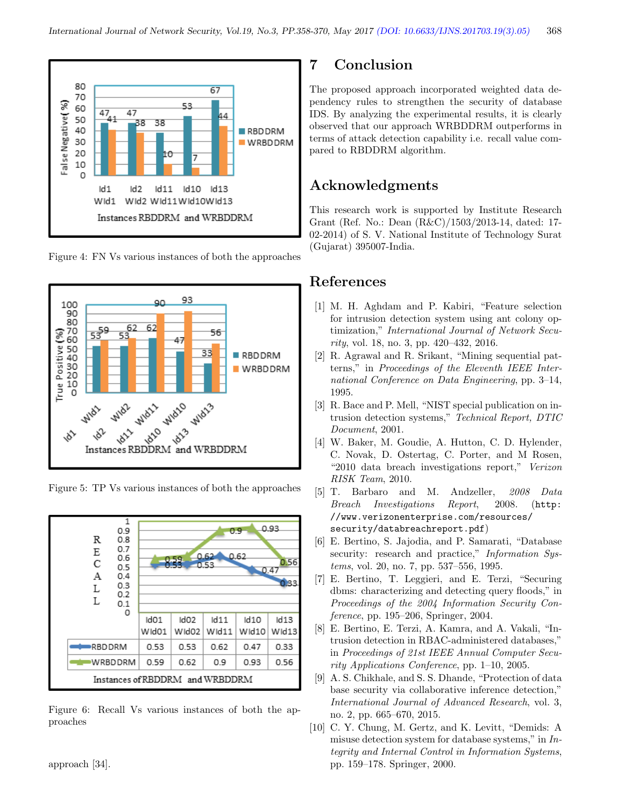

Figure 4: FN Vs various instances of both the approaches



Figure 5: TP Vs various instances of both the approaches



Figure 6: Recall Vs various instances of both the approaches

approach [34].

## 7 Conclusion

The proposed approach incorporated weighted data dependency rules to strengthen the security of database IDS. By analyzing the experimental results, it is clearly observed that our approach WRBDDRM outperforms in terms of attack detection capability i.e. recall value compared to RBDDRM algorithm.

## Acknowledgments

This research work is supported by Institute Research Grant (Ref. No.: Dean (R&C)/1503/2013-14, dated: 17- 02-2014) of S. V. National Institute of Technology Surat (Gujarat) 395007-India.

## References

- [1] M. H. Aghdam and P. Kabiri, "Feature selection for intrusion detection system using ant colony optimization," International Journal of Network Security, vol. 18, no. 3, pp. 420–432, 2016.
- [2] R. Agrawal and R. Srikant, "Mining sequential patterns," in Proceedings of the Eleventh IEEE International Conference on Data Engineering, pp. 3–14, 1995.
- [3] R. Bace and P. Mell, "NIST special publication on intrusion detection systems," Technical Report, DTIC Document, 2001.
- [4] W. Baker, M. Goudie, A. Hutton, C. D. Hylender, C. Novak, D. Ostertag, C. Porter, and M Rosen, "2010 data breach investigations report," Verizon RISK Team, 2010.
- [5] T. Barbaro and M. Andzeller, 2008 Data Breach Investigations Report, 2008. (http: //www.verizonenterprise.com/resources/ security/databreachreport.pdf)
- [6] E. Bertino, S. Jajodia, and P. Samarati, "Database security: research and practice," Information Systems, vol. 20, no. 7, pp. 537–556, 1995.
- [7] E. Bertino, T. Leggieri, and E. Terzi, "Securing dbms: characterizing and detecting query floods," in Proceedings of the 2004 Information Security Conference, pp. 195–206, Springer, 2004.
- [8] E. Bertino, E. Terzi, A. Kamra, and A. Vakali, "Intrusion detection in RBAC-administered databases," in Proceedings of 21st IEEE Annual Computer Security Applications Conference, pp. 1–10, 2005.
- [9] A. S. Chikhale, and S. S. Dhande, "Protection of data base security via collaborative inference detection," International Journal of Advanced Research, vol. 3, no. 2, pp. 665–670, 2015.
- [10] C. Y. Chung, M. Gertz, and K. Levitt, "Demids: A misuse detection system for database systems," in Integrity and Internal Control in Information Systems, pp. 159–178. Springer, 2000.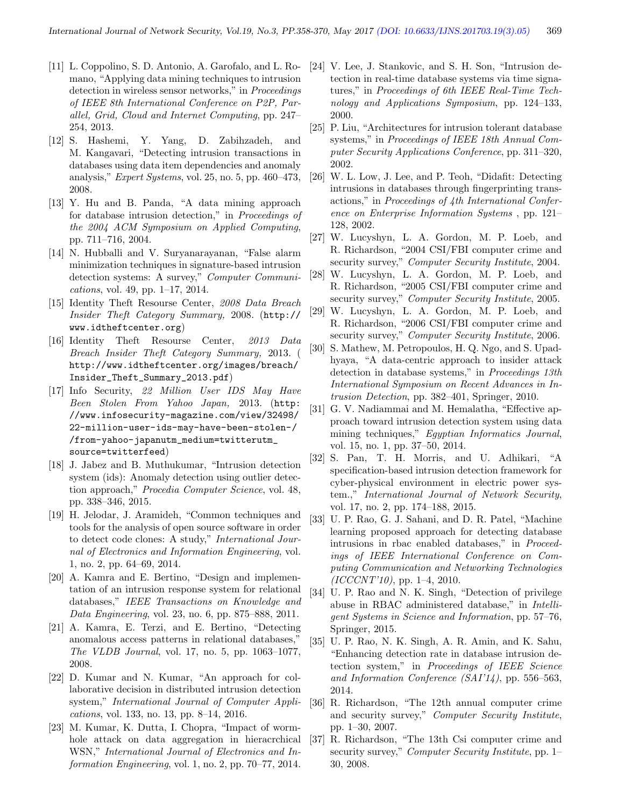- [11] L. Coppolino, S. D. Antonio, A. Garofalo, and L. Romano, "Applying data mining techniques to intrusion detection in wireless sensor networks," in Proceedings of IEEE 8th International Conference on P2P, Parallel, Grid, Cloud and Internet Computing, pp. 247– 254, 2013.
- [12] S. Hashemi, Y. Yang, D. Zabihzadeh, and M. Kangavari, "Detecting intrusion transactions in databases using data item dependencies and anomaly analysis," *Expert Systems*, vol. 25, no. 5, pp.  $460-473$ , 2008.
- [13] Y. Hu and B. Panda, "A data mining approach for database intrusion detection," in Proceedings of the 2004 ACM Symposium on Applied Computing, pp. 711–716, 2004.
- [14] N. Hubballi and V. Suryanarayanan, "False alarm minimization techniques in signature-based intrusion detection systems: A survey," Computer Communications, vol. 49, pp. 1–17, 2014.
- [15] Identity Theft Resourse Center, 2008 Data Breach Insider Theft Category Summary, 2008. (http:// www.idtheftcenter.org)
- [16] Identity Theft Resourse Center, 2013 Data Breach Insider Theft Category Summary, 2013. ( http://www.idtheftcenter.org/images/breach/ Insider\_Theft\_Summary\_2013.pdf)
- [17] Info Security, 22 Million User IDS May Have Been Stolen From Yahoo Japan, 2013. (http: //www.infosecurity-magazine.com/view/32498/ 22-million-user-ids-may-have-been-stolen-/ /from-yahoo-japanutm\_medium=twitterutm\_ source=twitterfeed)
- [18] J. Jabez and B. Muthukumar, "Intrusion detection system (ids): Anomaly detection using outlier detection approach," Procedia Computer Science, vol. 48, pp. 338–346, 2015.
- [19] H. Jelodar, J. Aramideh, "Common techniques and tools for the analysis of open source software in order to detect code clones: A study," International Journal of Electronics and Information Engineering, vol. 1, no. 2, pp. 64–69, 2014.
- [20] A. Kamra and E. Bertino, "Design and implementation of an intrusion response system for relational databases," IEEE Transactions on Knowledge and Data Engineering, vol. 23, no. 6, pp. 875–888, 2011.
- [21] A. Kamra, E. Terzi, and E. Bertino, "Detecting anomalous access patterns in relational databases," The VLDB Journal, vol. 17, no. 5, pp. 1063–1077, 2008.
- [22] D. Kumar and N. Kumar, "An approach for collaborative decision in distributed intrusion detection system," International Journal of Computer Applications, vol. 133, no. 13, pp. 8–14, 2016.
- [23] M. Kumar, K. Dutta, I. Chopra, "Impact of wormhole attack on data aggregation in hieracrchical WSN," International Journal of Electronics and Information Engineering, vol. 1, no. 2, pp. 70–77, 2014.
- [24] V. Lee, J. Stankovic, and S. H. Son, "Intrusion detection in real-time database systems via time signatures," in Proceedings of 6th IEEE Real-Time Technology and Applications Symposium, pp. 124–133, 2000.
- [25] P. Liu, "Architectures for intrusion tolerant database systems," in Proceedings of IEEE 18th Annual Computer Security Applications Conference, pp. 311–320, 2002.
- [26] W. L. Low, J. Lee, and P. Teoh, "Didafit: Detecting intrusions in databases through fingerprinting transactions," in Proceedings of 4th International Conference on Enterprise Information Systems , pp. 121– 128, 2002.
- [27] W. Lucyshyn, L. A. Gordon, M. P. Loeb, and R. Richardson, "2004 CSI/FBI computer crime and security survey," Computer Security Institute, 2004.
- [28] W. Lucyshyn, L. A. Gordon, M. P. Loeb, and R. Richardson, "2005 CSI/FBI computer crime and security survey," Computer Security Institute, 2005.
- [29] W. Lucyshyn, L. A. Gordon, M. P. Loeb, and R. Richardson, "2006 CSI/FBI computer crime and security survey," *Computer Security Institute*, 2006.
- [30] S. Mathew, M. Petropoulos, H. Q. Ngo, and S. Upadhyaya, "A data-centric approach to insider attack detection in database systems," in Proceedings 13th International Symposium on Recent Advances in Intrusion Detection, pp. 382–401, Springer, 2010.
- [31] G. V. Nadiammai and M. Hemalatha, "Effective approach toward intrusion detection system using data mining techniques," Egyptian Informatics Journal, vol. 15, no. 1, pp. 37–50, 2014.
- [32] S. Pan, T. H. Morris, and U. Adhikari, "A specification-based intrusion detection framework for cyber-physical environment in electric power system.," International Journal of Network Security, vol. 17, no. 2, pp. 174–188, 2015.
- [33] U. P. Rao, G. J. Sahani, and D. R. Patel, "Machine learning proposed approach for detecting database intrusions in rbac enabled databases," in Proceedings of IEEE International Conference on Computing Communication and Networking Technologies  $(ICCCNT'10)$ , pp. 1–4, 2010.
- [34] U. P. Rao and N. K. Singh, "Detection of privilege abuse in RBAC administered database," in Intelligent Systems in Science and Information, pp. 57–76, Springer, 2015.
- [35] U. P. Rao, N. K. Singh, A. R. Amin, and K. Sahu, "Enhancing detection rate in database intrusion detection system," in Proceedings of IEEE Science and Information Conference (SAI'14), pp. 556–563, 2014.
- [36] R. Richardson, "The 12th annual computer crime and security survey," Computer Security Institute, pp. 1–30, 2007.
- [37] R. Richardson, "The 13th Csi computer crime and security survey," Computer Security Institute, pp. 1– 30, 2008.